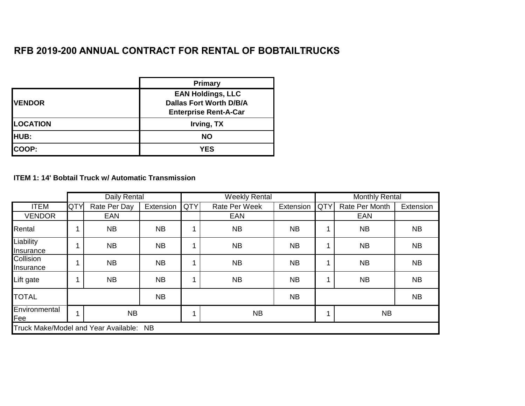|                 | <b>Primary</b>                                                                             |
|-----------------|--------------------------------------------------------------------------------------------|
| <b>VENDOR</b>   | <b>EAN Holdings, LLC</b><br><b>Dallas Fort Worth D/B/A</b><br><b>Enterprise Rent-A-Car</b> |
| <b>LOCATION</b> | Irving, TX                                                                                 |
| HUB:            | <b>NO</b>                                                                                  |
| <b>COOP:</b>    | <b>YES</b>                                                                                 |

**ITEM 1: 14' Bobtail Truck w/ Automatic Transmission**

|                        |                                         | <b>Daily Rental</b> |           |            | <b>Weekly Rental</b> |           |     | <b>Monthly Rental</b> |           |
|------------------------|-----------------------------------------|---------------------|-----------|------------|----------------------|-----------|-----|-----------------------|-----------|
| <b>ITEM</b>            | <b>QTY</b>                              | Rate Per Day        | Extension | <b>QTY</b> | <b>Rate Per Week</b> | Extension | QTY | Rate Per Month        | Extension |
| <b>VENDOR</b>          |                                         | EAN                 |           |            | EAN                  |           |     | EAN                   |           |
| Rental                 |                                         | <b>NB</b>           | <b>NB</b> |            | <b>NB</b>            | <b>NB</b> |     | <b>NB</b>             | <b>NB</b> |
| Liability<br>Insurance |                                         | <b>NB</b>           | <b>NB</b> |            | <b>NB</b>            | <b>NB</b> |     | <b>NB</b>             | <b>NB</b> |
| Collision<br>Insurance |                                         | <b>NB</b>           | <b>NB</b> |            | <b>NB</b>            | <b>NB</b> |     | <b>NB</b>             | <b>NB</b> |
| Lift gate              |                                         | <b>NB</b>           | <b>NB</b> |            | <b>NB</b>            | <b>NB</b> |     | <b>NB</b>             | <b>NB</b> |
| <b>TOTAL</b>           | <b>NB</b>                               |                     |           |            |                      | <b>NB</b> |     |                       | <b>NB</b> |
| Environmental<br>Fee   |                                         | <b>NB</b>           |           |            | <b>NB</b>            |           |     | <b>NB</b>             |           |
|                        | Truck Make/Model and Year Available: NB |                     |           |            |                      |           |     |                       |           |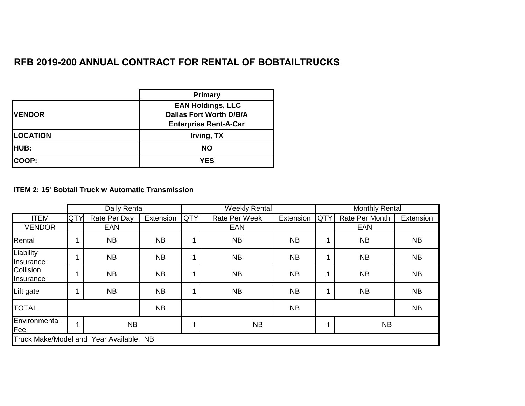|                 | <b>Primary</b>                                                                             |
|-----------------|--------------------------------------------------------------------------------------------|
| <b>IVENDOR</b>  | <b>EAN Holdings, LLC</b><br><b>Dallas Fort Worth D/B/A</b><br><b>Enterprise Rent-A-Car</b> |
| <b>LOCATION</b> | Irving, TX                                                                                 |
| <b>HUB:</b>     | <b>NO</b>                                                                                  |
| COOP:           | <b>YES</b>                                                                                 |

**ITEM 2: 15' Bobtail Truck w Automatic Transmission**

|                                         |     | <b>Daily Rental</b> |           |            | <b>Weekly Rental</b> |           |     | <b>Monthly Rental</b> |           |
|-----------------------------------------|-----|---------------------|-----------|------------|----------------------|-----------|-----|-----------------------|-----------|
| <b>ITEM</b>                             | QTY | Rate Per Day        | Extension | <b>QTY</b> | Rate Per Week        | Extension | QTY | Rate Per Month        | Extension |
| <b>VENDOR</b>                           |     | EAN                 |           |            | EAN                  |           |     | EAN                   |           |
| Rental                                  |     | <b>NB</b>           | <b>NB</b> |            | <b>NB</b>            | <b>NB</b> |     | <b>NB</b>             | <b>NB</b> |
| Liability<br>Insurance                  |     | <b>NB</b>           | <b>NB</b> |            | <b>NB</b>            | <b>NB</b> |     | <b>NB</b>             | <b>NB</b> |
| Collision<br>Insurance                  |     | <b>NB</b>           | <b>NB</b> |            | <b>NB</b>            | <b>NB</b> |     | <b>NB</b>             | <b>NB</b> |
| Lift gate                               |     | <b>NB</b>           | <b>NB</b> |            | <b>NB</b>            | <b>NB</b> |     | <b>NB</b>             | <b>NB</b> |
| <b>TOTAL</b>                            |     | <b>NB</b>           |           |            |                      | <b>NB</b> |     |                       | <b>NB</b> |
| Environmental<br>Fee                    |     | <b>NB</b>           |           | <b>NB</b>  |                      |           |     | <b>NB</b>             |           |
| Truck Make/Model and Year Available: NB |     |                     |           |            |                      |           |     |                       |           |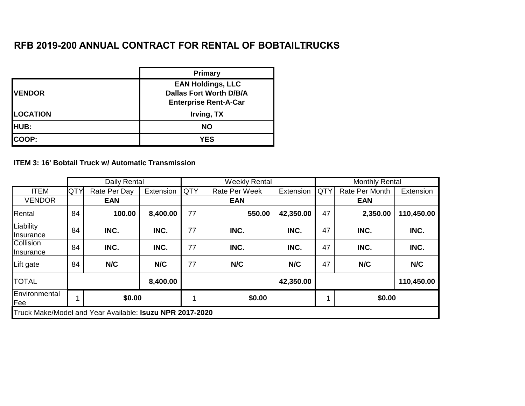|                 | <b>Primary</b>                 |
|-----------------|--------------------------------|
|                 | <b>EAN Holdings, LLC</b>       |
| <b>VENDOR</b>   | <b>Dallas Fort Worth D/B/A</b> |
|                 | <b>Enterprise Rent-A-Car</b>   |
| <b>LOCATION</b> | Irving, TX                     |
| HUB:            | <b>NO</b>                      |
| <b>COOP:</b>    | <b>YES</b>                     |

**ITEM 3: 16' Bobtail Truck w/ Automatic Transmission**

|                                                          |            | <b>Daily Rental</b> |           |            | <b>Weekly Rental</b> |           |        | <b>Monthly Rental</b> |            |
|----------------------------------------------------------|------------|---------------------|-----------|------------|----------------------|-----------|--------|-----------------------|------------|
| <b>ITEM</b>                                              | <b>QTY</b> | Rate Per Day        | Extension | <b>QTY</b> | <b>Rate Per Week</b> | Extension | QTY    | Rate Per Month        | Extension  |
| <b>VENDOR</b>                                            |            | <b>EAN</b>          |           |            | <b>EAN</b>           |           |        | <b>EAN</b>            |            |
| Rental                                                   | 84         | 100.00              | 8,400.00  | 77         | 550.00               | 42,350.00 | 47     | 2,350.00              | 110,450.00 |
| Liability<br>Insurance                                   | 84         | INC.                | INC.      | 77         | INC.                 | INC.      | 47     | INC.                  | INC.       |
| Collision<br>Insurance                                   | 84         | INC.                | INC.      | 77         | INC.                 | INC.      | 47     | INC.                  | INC.       |
| Lift gate                                                | 84         | N/C                 | N/C       | 77         | N/C                  | N/C       | 47     | N/C                   | N/C        |
| <b>TOTAL</b>                                             |            |                     | 8,400.00  |            |                      | 42,350.00 |        |                       | 110,450.00 |
| Environmental<br>Fee                                     |            | \$0.00              |           |            | \$0.00               |           | \$0.00 |                       |            |
| Truck Make/Model and Year Available: Isuzu NPR 2017-2020 |            |                     |           |            |                      |           |        |                       |            |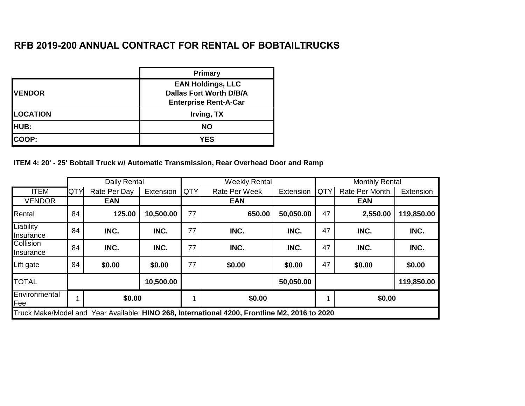|                 | <b>Primary</b>                                                                             |
|-----------------|--------------------------------------------------------------------------------------------|
| <b>VENDOR</b>   | <b>EAN Holdings, LLC</b><br><b>Dallas Fort Worth D/B/A</b><br><b>Enterprise Rent-A-Car</b> |
| <b>LOCATION</b> | Irving, TX                                                                                 |
| HUB:            | <b>NO</b>                                                                                  |
| COOP:           | <b>YES</b>                                                                                 |

**ITEM 4: 20' - 25' Bobtail Truck w/ Automatic Transmission, Rear Overhead Door and Ramp**

|                                                                                               |     | Daily Rental |           |            | <b>Weekly Rental</b> |            |            | <b>Monthly Rental</b> |            |
|-----------------------------------------------------------------------------------------------|-----|--------------|-----------|------------|----------------------|------------|------------|-----------------------|------------|
| <b>ITEM</b>                                                                                   | QTY | Rate Per Day | Extension | <b>QTY</b> | <b>Rate Per Week</b> | Extension  | <b>QTY</b> | Rate Per Month        | Extension  |
| <b>VENDOR</b>                                                                                 |     | <b>EAN</b>   |           |            | <b>EAN</b>           |            |            | <b>EAN</b>            |            |
| Rental                                                                                        | 84  | 125.00       | 10,500.00 | 77         | 650.00               | 50,050.00  | 47         | 2,550.00              | 119,850.00 |
| Liability<br>Insurance                                                                        | 84  | INC.         | INC.      | 77         | INC.                 | INC.       | 47         | INC.                  | INC.       |
| Collision<br>Insurance                                                                        | 84  | INC.         | INC.      | 77         | INC.                 | INC.       | 47         | INC.                  | INC.       |
| Lift gate                                                                                     | 84  | \$0.00       | \$0.00    | 77         | \$0.00               | \$0.00     | 47         | \$0.00                | \$0.00     |
| <b>TOTAL</b><br>10,500.00<br>50,050.00                                                        |     |              |           |            |                      | 119,850.00 |            |                       |            |
| Environmental<br>Fee                                                                          |     | \$0.00       |           |            | \$0.00               |            |            | \$0.00                |            |
| Truck Make/Model and Year Available: HINO 268, International 4200, Frontline M2, 2016 to 2020 |     |              |           |            |                      |            |            |                       |            |